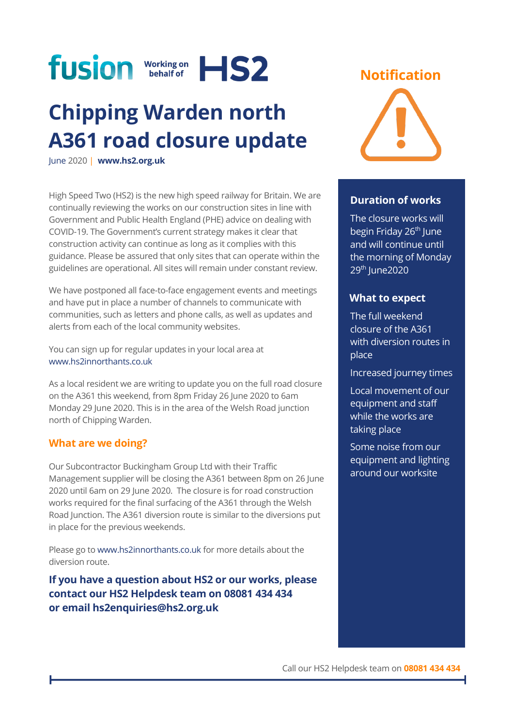

# **Chipping Warden north A361 road closure update**

June 2020 | **[www.hs2.org.uk](http://www.hs2.org.uk/)**

High Speed Two (HS2) is the new high speed railway for Britain. We are continually reviewing the works on our construction sites in line with Government and Public Health England (PHE) advice on dealing with COVID-19. The Government's current strategy makes it clear that construction activity can continue as long as it complies with this guidance. Please be assured that only sites that can operate within the guidelines are operational. All sites will remain under constant review.

We have postponed all face-to-face engagement events and meetings and have put in place a number of channels to communicate with communities, such as letters and phone calls, as well as updates and alerts from each of the local community websites.

You can sign up for regular updates in your local area at [www.hs2innorthants.co.uk](http://www.hs2innorthants.co.uk/)

As a local resident we are writing to update you on the full road closure on the A361 this weekend, from 8pm Friday 26 June 2020 to 6am Monday 29 June 2020. This is in the area of the Welsh Road junction north of Chipping Warden.

## **What are we doing?**

Our Subcontractor Buckingham Group Ltd with their Traffic Management supplier will be closing the A361 between 8pm on 26 June 2020 until 6am on 29 June 2020. The closure is for road construction works required for the final surfacing of the A361 through the Welsh Road Junction. The A361 diversion route is similar to the diversions put in place for the previous weekends.

Please go to [www.hs2innorthants.co.uk](http://www.hs2innorthants.co.uk/) for more details about the diversion route.

**If you have a question about HS2 or our works, please contact our HS2 Helpdesk team on 08081 434 434 or email hs2enquiries@hs2.org.uk**

# **Notification**



#### **Duration of works**

The closure works will begin Friday 26<sup>th</sup> June and will continue until the morning of Monday 29<sup>th</sup> June2020

## **What to expect**

The full weekend closure of the A361 with diversion routes in place

Increased journey times

Local movement of our equipment and staff while the works are taking place

Some noise from our equipment and lighting around our worksite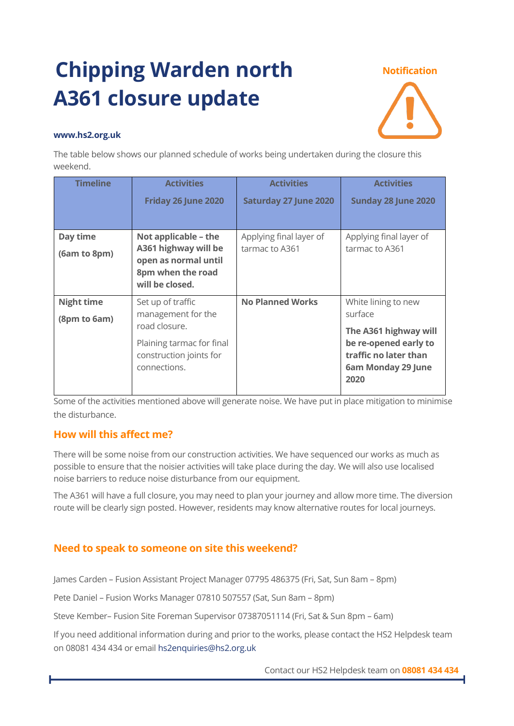# **Chipping Warden north A361 closure update**

#### **Notification**



#### **www.hs2.org.uk**

The table below shows our planned schedule of works being undertaken during the closure this weekend.

| <b>Timeline</b>                   | <b>Activities</b>                                                                                                                | <b>Activities</b>                         | <b>Activities</b>                                                                                                                       |
|-----------------------------------|----------------------------------------------------------------------------------------------------------------------------------|-------------------------------------------|-----------------------------------------------------------------------------------------------------------------------------------------|
|                                   | Friday 26 June 2020                                                                                                              | <b>Saturday 27 June 2020</b>              | Sunday 28 June 2020                                                                                                                     |
| Day time<br>(6am to 8pm)          | Not applicable - the<br>A361 highway will be<br>open as normal until<br>8pm when the road<br>will be closed.                     | Applying final layer of<br>tarmac to A361 | Applying final layer of<br>tarmac to A361                                                                                               |
| <b>Night time</b><br>(8pm to 6am) | Set up of traffic<br>management for the<br>road closure.<br>Plaining tarmac for final<br>construction joints for<br>connections. | <b>No Planned Works</b>                   | White lining to new<br>surface<br>The A361 highway will<br>be re-opened early to<br>traffic no later than<br>6am Monday 29 June<br>2020 |

Some of the activities mentioned above will generate noise. We have put in place mitigation to minimise the disturbance.

# **How will this affect me?**

There will be some noise from our construction activities. We have sequenced our works as much as possible to ensure that the noisier activities will take place during the day. We will also use localised noise barriers to reduce noise disturbance from our equipment.

The A361 will have a full closure, you may need to plan your journey and allow more time. The diversion route will be clearly sign posted. However, residents may know alternative routes for local journeys.

# **Need to speak to someone on site this weekend?**

James Carden – Fusion Assistant Project Manager 07795 486375 (Fri, Sat, Sun 8am – 8pm)

Pete Daniel – Fusion Works Manager 07810 507557 (Sat, Sun 8am – 8pm)

Steve Kember– Fusion Site Foreman Supervisor 07387051114 (Fri, Sat & Sun 8pm – 6am)

If you need additional information during and prior to the works, please contact the HS2 Helpdesk team on 08081 434 434 or email [hs2enquiries@hs2.org.uk](mailto:hs2enquiries@hs2.org.uk)

Contact our HS2 Helpdesk team on **08081 434 434**